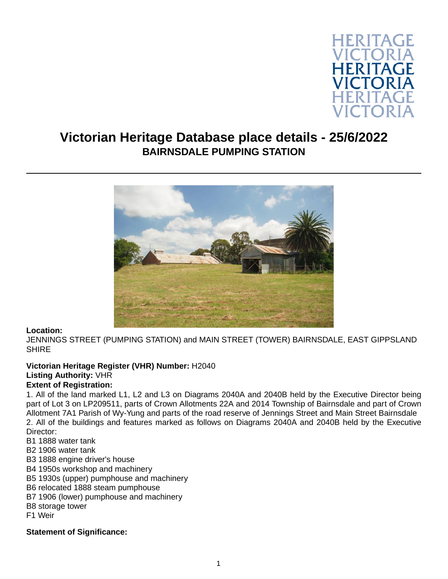

## **Victorian Heritage Database place details - 25/6/2022 BAIRNSDALE PUMPING STATION**



## **Location:**

JENNINGS STREET (PUMPING STATION) and MAIN STREET (TOWER) BAIRNSDALE, EAST GIPPSLAND SHIRE

## **Victorian Heritage Register (VHR) Number:** H2040 **Listing Authority:** VHR **Extent of Registration:**

1. All of the land marked L1, L2 and L3 on Diagrams 2040A and 2040B held by the Executive Director being part of Lot 3 on LP209511, parts of Crown Allotments 22A and 2014 Township of Bairnsdale and part of Crown Allotment 7A1 Parish of Wy-Yung and parts of the road reserve of Jennings Street and Main Street Bairnsdale 2. All of the buildings and features marked as follows on Diagrams 2040A and 2040B held by the Executive Director:

B1 1888 water tank

B2 1906 water tank

B3 1888 engine driver's house

B4 1950s workshop and machinery

B5 1930s (upper) pumphouse and machinery

B6 relocated 1888 steam pumphouse

B7 1906 (lower) pumphouse and machinery

B8 storage tower

F1 Weir

## **Statement of Significance:**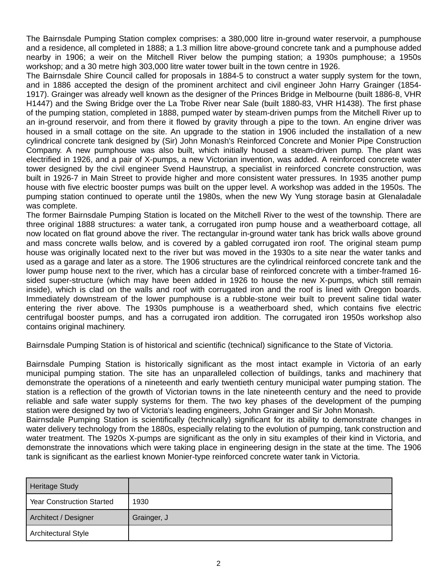The Bairnsdale Pumping Station complex comprises: a 380,000 litre in-ground water reservoir, a pumphouse and a residence, all completed in 1888; a 1.3 million litre above-ground concrete tank and a pumphouse added nearby in 1906; a weir on the Mitchell River below the pumping station; a 1930s pumphouse; a 1950s workshop; and a 30 metre high 303,000 litre water tower built in the town centre in 1926.

The Bairnsdale Shire Council called for proposals in 1884-5 to construct a water supply system for the town, and in 1886 accepted the design of the prominent architect and civil engineer John Harry Grainger (1854- 1917). Grainger was already well known as the designer of the Princes Bridge in Melbourne (built 1886-8, VHR H1447) and the Swing Bridge over the La Trobe River near Sale (built 1880-83, VHR H1438). The first phase of the pumping station, completed in 1888, pumped water by steam-driven pumps from the Mitchell River up to an in-ground reservoir, and from there it flowed by gravity through a pipe to the town. An engine driver was housed in a small cottage on the site. An upgrade to the station in 1906 included the installation of a new cylindrical concrete tank designed by (Sir) John Monash's Reinforced Concrete and Monier Pipe Construction Company. A new pumphouse was also built, which initially housed a steam-driven pump. The plant was electrified in 1926, and a pair of X-pumps, a new Victorian invention, was added. A reinforced concrete water tower designed by the civil engineer Svend Haunstrup, a specialist in reinforced concrete construction, was built in 1926-7 in Main Street to provide higher and more consistent water pressures. In 1935 another pump house with five electric booster pumps was built on the upper level. A workshop was added in the 1950s. The pumping station continued to operate until the 1980s, when the new Wy Yung storage basin at Glenaladale was complete.

The former Bairnsdale Pumping Station is located on the Mitchell River to the west of the township. There are three original 1888 structures: a water tank, a corrugated iron pump house and a weatherboard cottage, all now located on flat ground above the river. The rectangular in-ground water tank has brick walls above ground and mass concrete walls below, and is covered by a gabled corrugated iron roof. The original steam pump house was originally located next to the river but was moved in the 1930s to a site near the water tanks and used as a garage and later as a store. The 1906 structures are the cylindrical reinforced concrete tank and the lower pump house next to the river, which has a circular base of reinforced concrete with a timber-framed 16 sided super-structure (which may have been added in 1926 to house the new X-pumps, which still remain inside), which is clad on the walls and roof with corrugated iron and the roof is lined with Oregon boards. Immediately downstream of the lower pumphouse is a rubble-stone weir built to prevent saline tidal water entering the river above. The 1930s pumphouse is a weatherboard shed, which contains five electric centrifugal booster pumps, and has a corrugated iron addition. The corrugated iron 1950s workshop also contains original machinery.

Bairnsdale Pumping Station is of historical and scientific (technical) significance to the State of Victoria.

Bairnsdale Pumping Station is historically significant as the most intact example in Victoria of an early municipal pumping station. The site has an unparalleled collection of buildings, tanks and machinery that demonstrate the operations of a nineteenth and early twentieth century municipal water pumping station. The station is a reflection of the growth of Victorian towns in the late nineteenth century and the need to provide reliable and safe water supply systems for them. The two key phases of the development of the pumping station were designed by two of Victoria's leading engineers, John Grainger and Sir John Monash.

Bairnsdale Pumping Station is scientifically (technically) significant for its ability to demonstrate changes in water delivery technology from the 1880s, especially relating to the evolution of pumping, tank construction and water treatment. The 1920s X-pumps are significant as the only in situ examples of their kind in Victoria, and demonstrate the innovations which were taking place in engineering design in the state at the time. The 1906 tank is significant as the earliest known Monier-type reinforced concrete water tank in Victoria.

| Heritage Study                   |             |
|----------------------------------|-------------|
| <b>Year Construction Started</b> | 1930        |
| Architect / Designer             | Grainger, J |
| <b>Architectural Style</b>       |             |